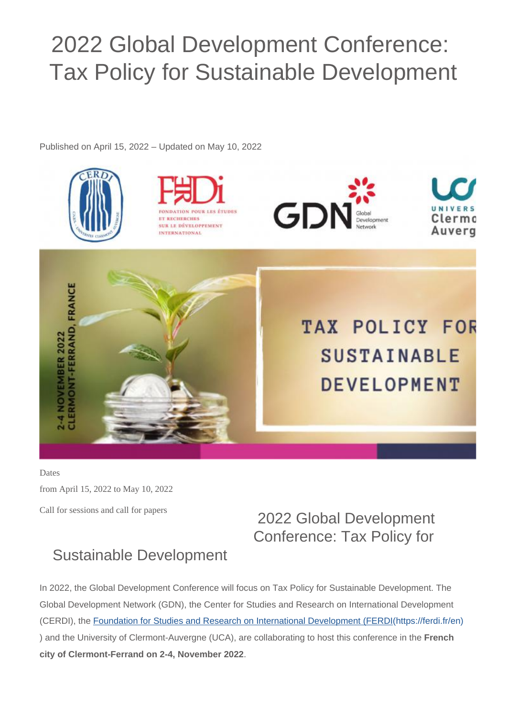## 2022 Global Development Conference: Tax Policy for Sustainable Development

Published on April 15, 2022 – Updated on May 10, 2022







Auvero



**TAX POLICY FOR SUSTAINABLE DEVELOPMENT** 

Dates

from April 15, 2022 to May 10, 2022

Call for sessions and call for papers

## 2022 Global Development Conference: Tax Policy for

## Sustainable Development

In 2022, the Global Development Conference will focus on Tax Policy for Sustainable Development. The Global Development Network (GDN), the Center for Studies and Research on International Development (CERDI), the [Foundation for Studies and Research on International Development \(FERDI\(https://ferdi.fr/en\)](https://ferdi.fr/en) ) and the University of Clermont-Auvergne (UCA), are collaborating to host this conference in the **French city of Clermont-Ferrand on 2-4, November 2022**.